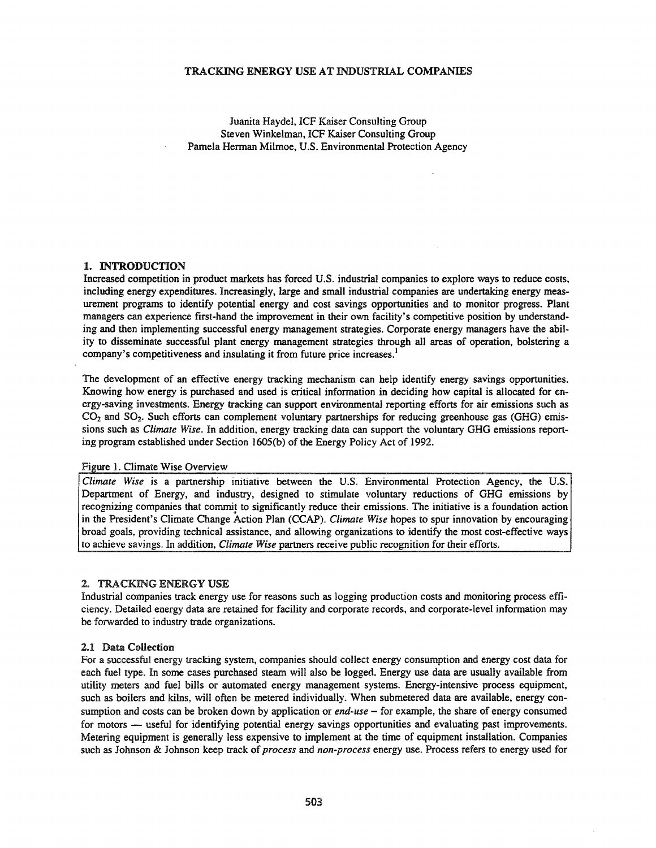#### TRACKING ENERGY USE AT INDUSTRIAL COMPANIES

Juanita Haydel, ICF Kaiser Consulting Group Steven Winkelman, ICF Kaiser Consulting Group Pamela Herman Milmoe, U.S. Environmental Protection Agency

#### 1. INTRODUCTION

Increased competition in product markets has forced U.S. industrial companies to explore ways to reduce costs, including energy expenditures. Increasingly, large and small industrial companies are undertaking energy measurement programs to identify potential energy and cost savings opportunities and to monitor progress. Plant managers can experience first-hand the improvement in their own facility's competitive position by understanding and then implementing successful energy management strategies. Corporate energy managers have the ability to disseminate successful plant energy management strategies through all areas of operation, bolstering a company's competitiveness and insulating it from future price increases.<sup>1</sup>

The development of an effective energy tracking mechanism can help identify energy savings opportunities. Knowing how energy is purchased and used is critical information in deciding how capital is allocated for energy-saving investments. Energy tracking can support environmental reporting efforts for air emissions such as CO2 and *S02.* Such efforts can complement voluntary partnerships for reducing greenhouse gas (GHG) emissions such as *Climate Wise.* In addition, energy tracking data can support the voluntary GHG emissions reporting program established under Section I605(b) of the Energy Policy Act of 1992.

#### Figure 1. Climate Wise Overview

*Climate Wise* is a partnership initiative between the U.S. Environmental Protection Agency, the U.S. Department of Energy, and industry, designed to stimulate voluntary reductions of GHG emissions by recognizing companies that commit to significantly reduce their emissions. The initiative is a foundation action in the President's Climate Change Action Plan (CCAP). *Climate Wise* hopes to spur innovation by encouraging broad goals, providing technical assistance, and allowing organizations to identify the most cost-effective ways to achieve savings. In addition, *Climate Wise* partners receive public recognition for their efforts.

#### 2. TRACKING ENERGY USE

Industrial companies track energy use for reasons such as logging production costs and monitoring process efficiency. Detailed energy data are retained for facility and corporate records, and corporate-level information may be forwarded to industry trade organizations.

#### 2.1 Data CoUection

For a successful energy tracking system, companies should collect energy consumption and energy cost data for each fuel type. In some cases purchased steam will also be logged. Energy use data are usually available from utility meters and fuel bills or automated energy management systems. Energy-intensive process equipment, such as boilers and kilns, will often be metered individually. When submetered data are available, energy consumption and costs can be broken down by application or *end-use* - for example, the share of energy consumed for motors - useful for identifying potential energy savings opportunities and evaluating past improvements. Metering equipment is generally less expensive to implement at the time of equipment installation. Companies such as Johnson & Johnson keep track of *process* and *non-process* energy use. Process refers to energy used for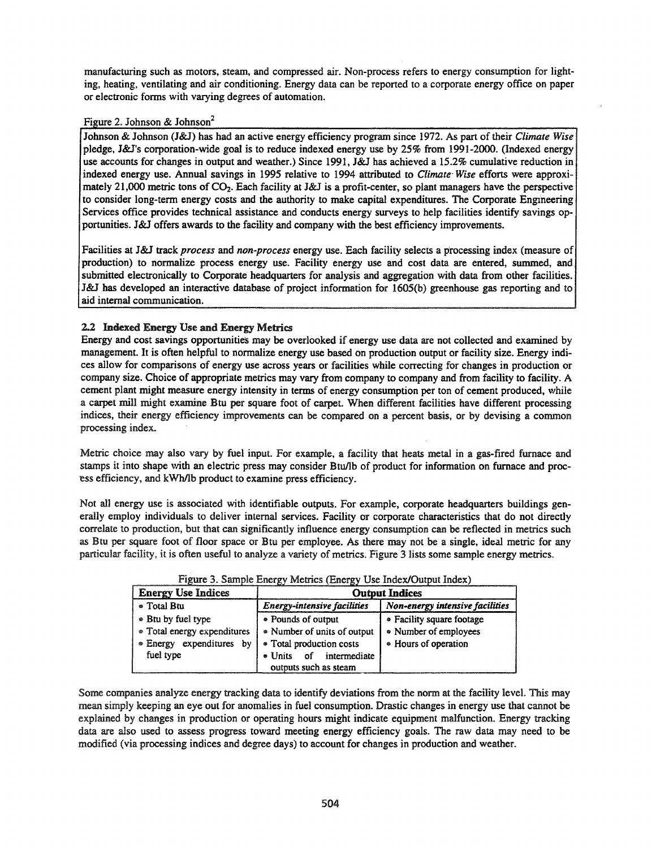manufacturing such as motors, steam, and compressed air. Non-process refers to energy consumption for lighting, heating, ventilating and air conditioning. Energy data can be reported to a corporate energy office on paper or electronic forms with varying degrees of automation.

## Figure 2. Johnson & Johnson<sup>2</sup>

Johnson & Johnson (J&1) has had an active energy efficiency program since 1972. As part of their *Climate Wise* pledge, J&1's corporation-wide goal is to reduce indexed energy use by 25% from 1991-2000. (Indexed energy use accounts for changes in output and weather.) Since 1991, J&1 has achieved a 15.2% cumulative reduction in indexed energy use. Annual savings in 1995 relative to 1994 attributed to *Climate- Wise* efforts were approximately 21,000 metric tons of  $CO<sub>2</sub>$ . Each facility at J&J is a profit-center, so plant managers have the perspective to consider long-term energy costs and the authority to make capital expenditures. The Corporate Engineering Services office provides technical assistance and conducts energy surveys to help facilities identify savings opportunities. J&1 offers awards to the facility and company with the best efficiency improvements.

Facilities at J&1 track *process* and *non-process* energy use. Each facility selects a processing index (measure of production) to normalize process energy use. Facility energy use and cost data are entered, summed, and submitted electronically to Corporate headquarters for analysis and aggregation with data from other facilities. J&1 has developed an interactive database of project information for 1605(b) greenhouse gas reporting and to aid internal communication.

# 2.2 Indexed Energy Use and Energy Metrics

Energy and cost savings opportunities may be overlooked if energy use data are not collected and examined by management. It is often helpful to normalize energy use based on production output or facility size. Energy indices allow for comparisons of energy use across years or facilities while correcting for changes in production or company size. Choice of appropriate metrics may vary from company to company and from facility to facility. A cement plant might measure energy intensity in terms of energy consumption per ton of cement produced, while a carpet mill might examine Btu per square foot of carpet. When different facilities have different processing indices, their energy efficiency improvements can be compared on a percent basis, or by devising a common processing index.

Metric choice may also vary by fuel input. For example, a facility that heats metal in a gas-fired furnace and stamps it into shape with an electric press may consider Btullb of product for information on furnace and process efficiency, and kWhIlb product to examine press efficiency.

Not all energy use is associated with identifiable outputs. For example, corporate headquarters buildings generally employ individuals to deliver internal services. Facility or corporate characteristics that do not directly correlate to production, but that can significantly influence energy consumption can be reflected in metrics such as Btu per square foot of floor space or Btu per employee. As there may not be a single, ideal metric for any particular facility, it is often useful to analyze a variety of metrics. Figure 3 lists some sample energy metrics.

| <b>Energy Use Indices</b>                                                                          | <b>Output Indices</b>                                                         |                                                                            |
|----------------------------------------------------------------------------------------------------|-------------------------------------------------------------------------------|----------------------------------------------------------------------------|
| • Total Btu                                                                                        | Energy-intensive facilities                                                   | Non-energy intensive facilities                                            |
| • Btu by fuel type<br>• Total energy expenditures<br>expenditures<br>$\bullet$ Energy<br><b>DY</b> | • Pounds of output<br>• Number of units of output<br>• Total production costs | • Facility square footage<br>• Number of employees<br>• Hours of operation |
| fuel type                                                                                          | · Units of intermediate<br>outputs such as steam                              |                                                                            |

## Figure 3. Sample Energy Metrics (Energy Use Index/Output Index)

Some companies analyze energy tracking data to identify deviations from the norm at the facility level. This may mean simply keeping an eye out for anomalies in fuel consumption. Drastic changes in energy use that cannot be explained by changes in production or operating hours might indicate equipment malfunction. Energy tracking data are also used to assess progress toward meeting energy efficiency goals. The raw data may need to be modified (via processing indices and degree days) to account for changes in production and weather.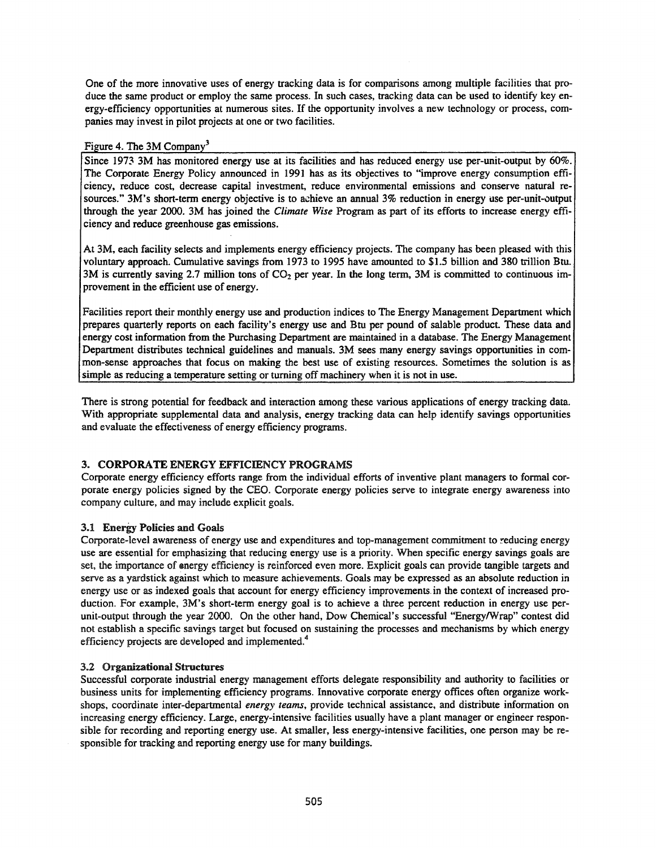One of the more innovative uses of energy tracking data is for comparisons among multiple facilities that produce the same product or employ the same process. In such cases, tracking data can be used to identify key energy-efficiency opportunities at numerous sites. If the opportunity involves a new technology or process, companies may invest in pilot projects at one or two facilities.

## Figure 4. The 3M Company<sup>3</sup>

Since 1973 3M has monitored energy use at its facilities and has reduced energy use per-unit-output by 60%. The Corporate Energy Policy announced in 1991 has as its objectives to "improve energy consumption efficiency, reduce cost, decrease capital investment, reduce environmental emissions and conserve natural resources." 3M's short-term energy objective is to achieve an annual 3% reduction in energy use per-unit-output through the year 2000. 3M has joined the *Climate Wise* Program as part of its efforts to increase energy efficiency and reduce greenhouse gas emissions.

At 3M, each facility selects and implements energy efficiency projects. The company has been pleased with this voluntary approach. Cumulative savings from 1973 to 1995 have amounted to \$1.5 billion and 380 trillion Btu. 3M is currently saving 2.7 million tons of  $CO<sub>2</sub>$  per year. In the long term, 3M is committed to continuous improvement in the efficient use of energy.

Facilities report their monthly energy use and production indices to The Energy Management Department which prepares quarterly reports on each facility's energy use and Btu per pound of salable product. These data and energy cost information from the Purchasing Department are maintained in a database. The Energy Management Department distributes technical guidelines and manuals. 3M sees many energy savings opportunities in common-sense approaches that focus on making the best use of existing resources. Sometimes the solution is as simple as reducing a temperature setting or turning off machinery when it is not in use.

There is strong potential for feedback and interaction among these various applications of energy tracking data. With appropriate supplemental data and analysis, energy tracking data can help identify savings opportunities and evaluate the effectiveness of energy efficiency programs.

# 3. CORPORATE ENERGY EFFICIENCY PROGRAMS

Corporate energy efficiency efforts range from the individual efforts of inventive plant managers to formal corporate energy policies signed by the CEO. Corporate energy policies serve to integrate energy awareness into company culture, and may include explicit goals.

### 3.1 Energy Policies and Goals

Corporate-level awareness of energy use and expenditures and top-management commitment to reducing energy use are essential for emphasizing that reducing energy use is a priority. When specific energy savings goals are set, the importance of energy efficiency is reinforced even more. Explicit goals can provide tangible targets and serve as a yardstick against which to measure achievements. Goals may be expressed as an absolute reduction in energy use or as indexed goals that account for energy efficiency improvements in the context of increased production. For example, 3M's short-term energy goal is to achieve a three percent reduction in energy use perunit-output through the year 2000. On the other hand, Dow Chemical's successful "EnergyfWrap" contest did not establish a specific savings target but focused on sustaining the processes and mechanisms by which energy efficiency projects are developed and implemented.<sup>4</sup>

### 3.2 Organizational Structures

Successful corporate industrial energy management efforts delegate responsibility and authority to facilities or business units for implementing efficiency programs. Innovative corporate energy offices often organize workshops, coordinate inter-departmental *energy teams,* provide technical assistance, and distribute information on increasing energy efficiency. Large, energy-intensive facilities usually have a plant manager or engineer responsible for recording and reporting energy use. At smaller, less energy-intensive facilities, one person may be responsible for tracking and reporting energy use for many buildings.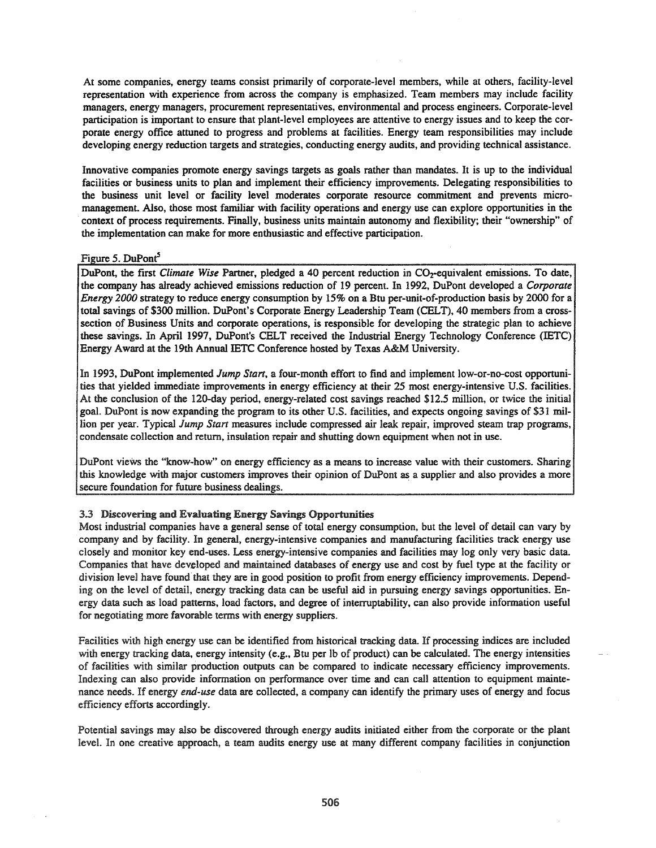At some companies, energy teams consist primarily of corporate-level members, while at others, facility-level representation with experience from across the company is emphasized. Team members may include facility managers, energy managers, procurement representatives, environmental and process engineers. Corporate-level participation is important to ensure that plant-level employees are attentive to energy issues and to keep the corporate energy office attuned to progress and problems at facilities. Energy team responsibilities may include developing energy reduction targets and strategies, conducting energy audits, and providing technical assistance.

Innovative companies promote energy savings targets as goals rather than mandates. It is up to the individual facilities or business units to plan and implement their efficiency improvements. Delegating responsibilities to the business unit level or facility level moderates corporate resource commitment and prevents micromanagement. Also, those most familiar with facility operations and energy use can explore opportunities in the context of process requirements. Finally, business units maintain autonomy and flexibility; their "ownership" of the implementation can make for more enthusiastic and effective participation.

### Figure 5. DuPont<sup>5</sup>

DuPont, the first *Climate Wise* Partner, pledged a 40 percent reduction in CO<sub>2</sub>-equivalent emissions. To date, the company has already achieved emissions reduction of 19 percent. In 1992, DuPont developed a *Corporate Energy 2000* strategy to reduce energy consumption by 15% on a Btu per-unit-of-production basis by 2000 for a total savings of \$300 million. DuPont's Corporate Energy Leadership Team (CELT), 40 members from a crosssection of Business Units and corporate operations, is responsible for developing the strategic plan to achieve these savings. In April 1997, DuPont's CELT received the Industrial Energy Technology Conference (IETC) Energy Award at the 19th Annual !ETC Conference hosted by Texas A&M University.

In 1993, DuPont implemented *Jump Start,* a four-month effort to find and implement low-or-no-cost opportunities that yielded immediate improvements in energy efficiency at their 25 most energy-intensive U.S. facilities. At the conclusion of the 120-day period, energy-related cost savings reached \$12.5 million, or twice the initial goal. DuPont is now expanding the program to its other U.S. facilities, and expects ongoing savings of \$31 million per year. Typical *Jump Start* measures include compressed air leak repair, improved steam trap programs, condensate collection and return, insulation repair and shutting down equipment when not in use.

DuPont views the "know-how" on energy efficiency as a means to increase value with their customers. Sharing this knowledge with major customers improves their opinion of DuPont as a supplier and also provides a more secure foundation for future business dealings.

### 3.3 Discovering and Evaluating Energy Savings Opportunities

Most industrial companies have a general sense of total energy consumption, but the level of detail can vary by company and by facility. In general, energy-intensive companies and manufacturing facilities track energy use closely and monitor key end-uses. Less energy-intensive companies and facilities may log only very basic data. Companies that have developed and maintained databases of energy use and cost by fuel type at the facility or division level have found that they are in good position to profit from energy efficiency improvements. Depending on the level of detail, energy tracking data can be useful aid in pursuing energy savings opportunities. Energy data such as load patterns, load factors, and degree of interruptability, can also provide information useful for negotiating more favorable terms with energy suppliers.

Facilities with high energy use can be identified from historical tracking data. If processing indices are included with energy tracking data, energy intensity (e.g., Btu per lb of product) can be calculated. The energy intensities of facilities with similar production outputs can be compared to indicate necessary efficiency improvements. Indexing can also provide information on performance over time and can call attention to equipment maintenance needs. If energy *end-use* data are collected, a company can identify the primary uses of energy and focus efficiency efforts accordingly.

Potential savings may also be discovered through energy audits initiated either from the corporate or the plant level. In one creative approach, a team audits energy use at many different company facilities in conjunction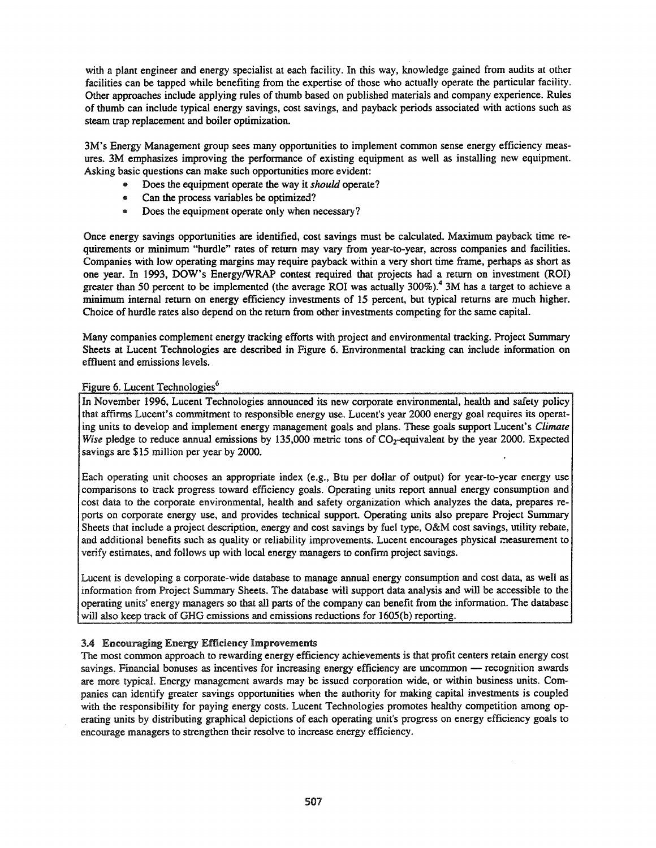with a plant engineer and energy specialist at each facility. In this way, knowledge gained from audits at other facilities can be tapped while benefiting from the expertise of those who actually operate the particular facility. Other approaches include applying rules of thumb based on published materials and company experience. Rules of thumb can include typical energy savings, cost savings, and payback periods associated with actions such as steam trap replacement and boiler optimization.

3M's Energy Management group sees many opportunities to implement common sense energy efficiency measures. 3M emphasizes improving the performance of existing equipment as well as installing new equipment. Asking basic questions can make such opportunities more evident:

- Does the equipment operate the way it *should* operate?
- Can the process variables be optimized?
- e Does the equipment operate only when necessary?

Once energy savings opportunities are identified, cost savings must be calculated. Maximum payback time requirements or minimum "hurdle" rates of return may vary from year-to-year, across companies and facilities. Companies with low operating margins may require payback within a very short time frame, perhaps as short as one year. In 1993, DOW's EnergylWRAP contest required that projects had a return on investment (ROI) greater than 50 percent to be implemented (the average ROI was actually 300%).<sup>4</sup> 3M has a target to achieve a minimum internal return on energy efficiency investments of IS percent, but typical returns are much higher. Choice of hurdle rates also depend on the return from other investments competing for the same capital.

Many companies complement energy tracking efforts with project and environmental tracking. Project Summary Sheets at Lucent Technologies are described in Figure 6. Environmental tracking can include information on effluent and emissions levels.

#### Figure 6. Lucent Technologies<sup>6</sup>

In November 1996, Lucent Technologies announced its new corporate environmental, health and safety policy that affirms Lucent's commitment to responsible energy use. Lucent's year 2000 energy goal requires its operating units to develop and implement energy management goals and plans. These goals support Lucent's *Climate Wise* pledge to reduce annual emissions by 135,000 metric tons of CO<sub>2</sub>-equivalent by the year 2000. Expected savings are \$15 million per year by 2000.

Each operating unit chooses an appropriate index (e.g., Btu per dollar of output) for year-to-year energy use comparisons to track progress toward efficiency goals. Operating units report annual energy consumption and cost data to the corporate environmental, health and safety organization which analyzes the data, prepares reports on corporate energy use, and provides technical support. Operating units also prepare Project Summary Sheets that include a project description, energy and cost savings by fuel type, O&M cost savings, utility rebate, and additional benefits such as quality or reliability improvements. Lucent encourages physical measurement to verify estimates, and follows up with local energy managers to confinn project savings.

Lucent is developing a corporate-wide database to manage annual energy consumption and cost data, as well as information from Project Summary Sheets. The database will support data analysis and will be accessible to the operating units' energy managers so that all parts of the company can benefit from the information. The database will also keep track of GHG emissions and emissions reductions for 1605(b) reporting.

#### 3.4 Encouraging Energy Efficiency Improvements

The most common approach to rewarding energy efficiency achievements is that profit centers retain energy cost savings. Financial bonuses as incentives for increasing energy efficiency are uncommon — recognition awards are more typical. Energy management awards may be issued corporation wide, or within business units. Companies can identify greater savings opportunities when the authority for making capital investments is coupled with the responsibility for paying energy costs. Lucent Technologies promotes healthy competition among operating units by distributing graphical depictions of each operating unit's progress on energy efficiency goals to encourage managers to strengthen their resolve to increase energy efficiency.